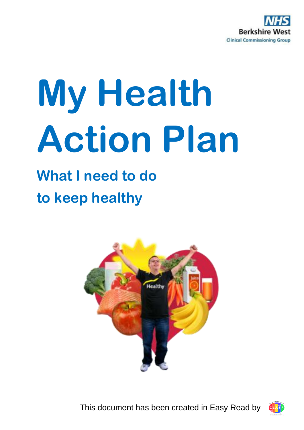

# **My Health Action Plan**

## **What I need to do to keep healthy**



This document has been created in Easy Read by

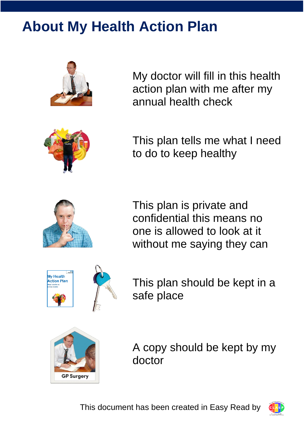## **About My Health Action Plan**



My doctor will fill in this health action plan with me after my annual health check



This plan tells me what I need to do to keep healthy



This plan is private and confidential this means no one is allowed to look at it without me saying they can



This plan should be kept in a safe place



A copy should be kept by my doctor

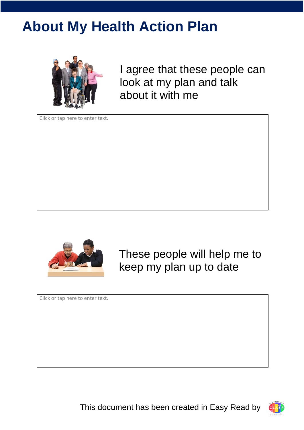## **About My Health Action Plan**



I agree that these people can look at my plan and talk about it with me

Click or tap here to enter text.



These people will help me to keep my plan up to date

Click or tap here to enter text.

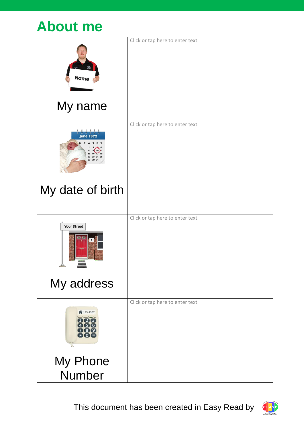|                                                                                                                                        | Click or tap here to enter text. |
|----------------------------------------------------------------------------------------------------------------------------------------|----------------------------------|
|                                                                                                                                        |                                  |
| <b>Name</b>                                                                                                                            |                                  |
|                                                                                                                                        |                                  |
| My name                                                                                                                                |                                  |
|                                                                                                                                        | Click or tap here to enter text. |
| <b>June 1972</b>                                                                                                                       |                                  |
| W<br>T F S<br>T<br>9(10)1<br>15 16 17 18                                                                                               |                                  |
| 22 23 24 25<br>29 30 31                                                                                                                |                                  |
|                                                                                                                                        |                                  |
|                                                                                                                                        |                                  |
| My date of birth                                                                                                                       |                                  |
|                                                                                                                                        |                                  |
| <b>Your Street</b>                                                                                                                     | Click or tap here to enter text. |
| $\mathbf{z}$ $\mathbf{w}$<br>1                                                                                                         |                                  |
|                                                                                                                                        |                                  |
|                                                                                                                                        |                                  |
|                                                                                                                                        |                                  |
| My address                                                                                                                             |                                  |
|                                                                                                                                        | Click or tap here to enter text. |
| ↑123 4567                                                                                                                              |                                  |
| $\begin{array}{c} \begin{array}{c} \begin{array}{c} \end{array} \\ \begin{array}{c} \end{array} \end{array} \end{array}$<br>008<br>000 |                                  |
| 089<br>80€                                                                                                                             |                                  |
| à                                                                                                                                      |                                  |
| My Phone                                                                                                                               |                                  |
| <b>Number</b>                                                                                                                          |                                  |

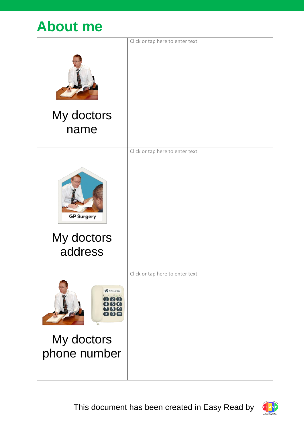### **About me**

| Click or tap here to enter text. |
|----------------------------------|
|                                  |
|                                  |
|                                  |
|                                  |
| Click or tap here to enter text. |
|                                  |
| Click or tap here to enter text. |
|                                  |

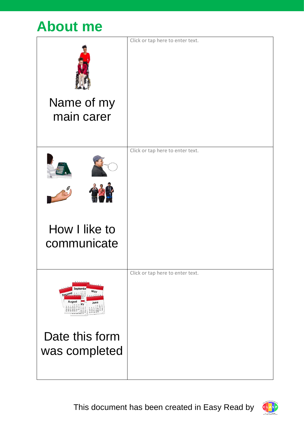### **About me**

|                                                                                                                                                                                                                                | Click or tap here to enter text. |
|--------------------------------------------------------------------------------------------------------------------------------------------------------------------------------------------------------------------------------|----------------------------------|
| Name of my                                                                                                                                                                                                                     |                                  |
| main carer                                                                                                                                                                                                                     |                                  |
|                                                                                                                                                                                                                                |                                  |
|                                                                                                                                                                                                                                | Click or tap here to enter text. |
|                                                                                                                                                                                                                                |                                  |
|                                                                                                                                                                                                                                |                                  |
|                                                                                                                                                                                                                                |                                  |
| How I like to                                                                                                                                                                                                                  |                                  |
| communicate                                                                                                                                                                                                                    |                                  |
|                                                                                                                                                                                                                                |                                  |
|                                                                                                                                                                                                                                | Click or tap here to enter text. |
| Septembe<br>May<br>cemb<br>0, 1, 1, 1<br>August<br>June<br>$\begin{array}{c} 1 & 2 & 3 \\ 7 & 8 & 9 & 10 \\ 14 & 15 & 16 & 17 \end{array}$<br>12 13 14 15 16 17<br>19 26 21 22 23 24<br>26 27 28 29 30<br>24.25<br>28 27 30 31 |                                  |
| Date this form                                                                                                                                                                                                                 |                                  |
| was completed                                                                                                                                                                                                                  |                                  |
|                                                                                                                                                                                                                                |                                  |
|                                                                                                                                                                                                                                |                                  |

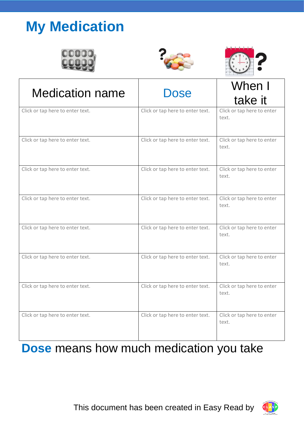## **My Medication**







| <b>Medication name</b>           | Dose                             | When I                              |
|----------------------------------|----------------------------------|-------------------------------------|
|                                  |                                  | take it                             |
| Click or tap here to enter text. | Click or tap here to enter text. | Click or tap here to enter<br>text. |
| Click or tap here to enter text. | Click or tap here to enter text. | Click or tap here to enter<br>text. |
| Click or tap here to enter text. | Click or tap here to enter text. | Click or tap here to enter<br>text. |
| Click or tap here to enter text. | Click or tap here to enter text. | Click or tap here to enter<br>text. |
| Click or tap here to enter text. | Click or tap here to enter text. | Click or tap here to enter<br>text. |
| Click or tap here to enter text. | Click or tap here to enter text. | Click or tap here to enter<br>text. |
| Click or tap here to enter text. | Click or tap here to enter text. | Click or tap here to enter<br>text. |
| Click or tap here to enter text. | Click or tap here to enter text. | Click or tap here to enter<br>text. |

#### **Dose** means how much medication you take

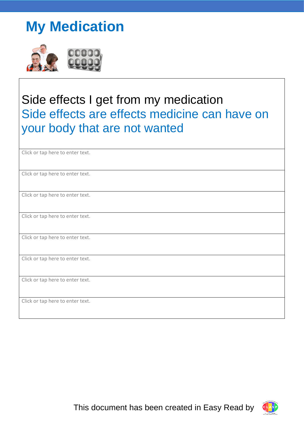## **My Medication**



#### Side effects I get from my medication Side effects are effects medicine can have on your body that are not wanted

| Click or tap here to enter text. |
|----------------------------------|
| Click or tap here to enter text. |
| Click or tap here to enter text. |
| Click or tap here to enter text. |
| Click or tap here to enter text. |
| Click or tap here to enter text. |
| Click or tap here to enter text. |
| Click or tap here to enter text. |

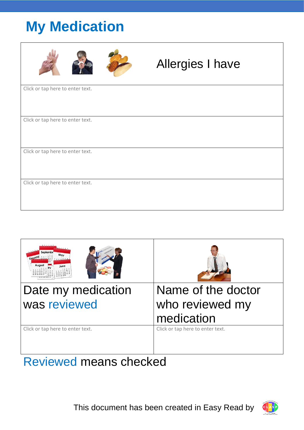## **My Medication**

|                                  | <b>Allergies I have</b> |  |
|----------------------------------|-------------------------|--|
| Click or tap here to enter text. |                         |  |
| Click or tap here to enter text. |                         |  |
| Click or tap here to enter text. |                         |  |
| Click or tap here to enter text. |                         |  |



#### Reviewed means checked

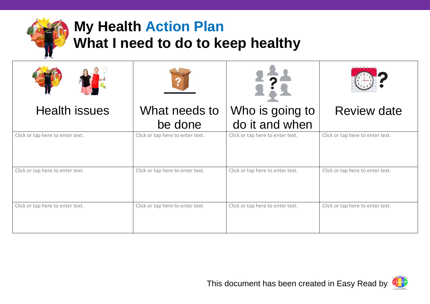

## **My Health Action Plan What I need to do to keep healthy**

| <b>Health issues</b>             | What needs to                    | Who is going to                  | <b>Review date</b>               |
|----------------------------------|----------------------------------|----------------------------------|----------------------------------|
|                                  | be done                          | do it and when                   |                                  |
| Click or tap here to enter text. | Click or tap here to enter text. | Click or tap here to enter text. | Click or tap here to enter text. |
| Click or tap here to enter text. | Click or tap here to enter text. | Click or tap here to enter text. | Click or tap here to enter text. |
| Click or tap here to enter text. | Click or tap here to enter text. | Click or tap here to enter text. | Click or tap here to enter text. |

ers<br>1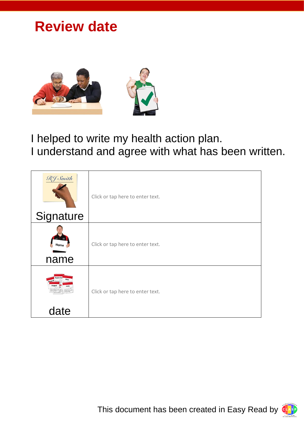#### **Review date**



I helped to write my health action plan. I understand and agree with what has been written.

| RJ Smith<br>Signature | Click or tap here to enter text. |
|-----------------------|----------------------------------|
| Name<br>name          | Click or tap here to enter text. |
| date                  | Click or tap here to enter text. |

This document has been created in Easy Read by